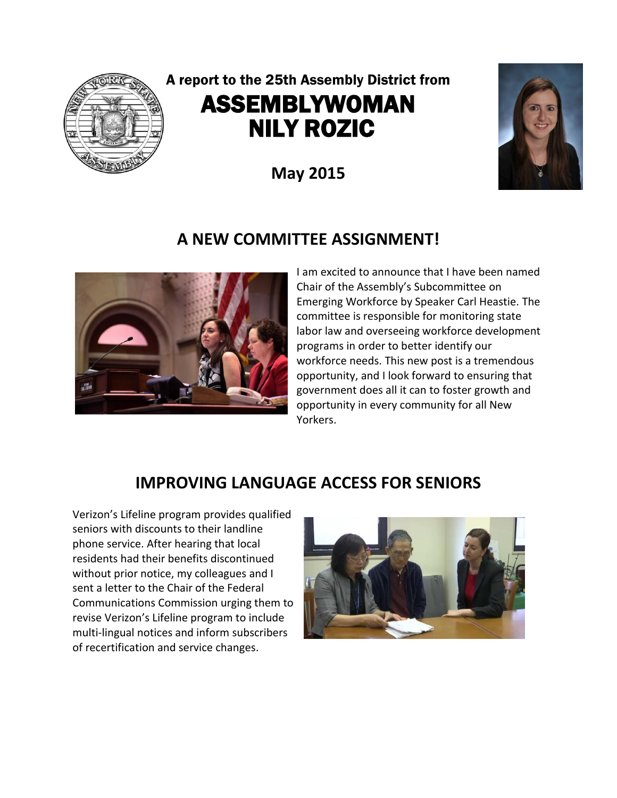

# A report to the 25th Assembly District from ASSEMBLYWOMAN NILY ROZIC

**May 2015**



### **A NEW COMMITTEE ASSIGNMENT!**



I am excited to announce that I have been named Chair of the Assembly's Subcommittee on Emerging Workforce by Speaker Carl Heastie. The committee is responsible for monitoring state labor law and overseeing workforce development programs in order to better identify our workforce needs. This new post is a tremendous opportunity, and I look forward to ensuring that government does all it can to foster growth and opportunity in every community for all New Yorkers.

#### **IMPROVING LANGUAGE ACCESS FOR SENIORS**

Verizon's Lifeline program provides qualified seniors with discounts to their landline phone service. After hearing that local residents had their benefits discontinued without prior notice, my colleagues and I sent a letter to the Chair of the Federal Communications Commission urging them to revise Verizon's Lifeline program to include multi-lingual notices and inform subscribers of recertification and service changes.